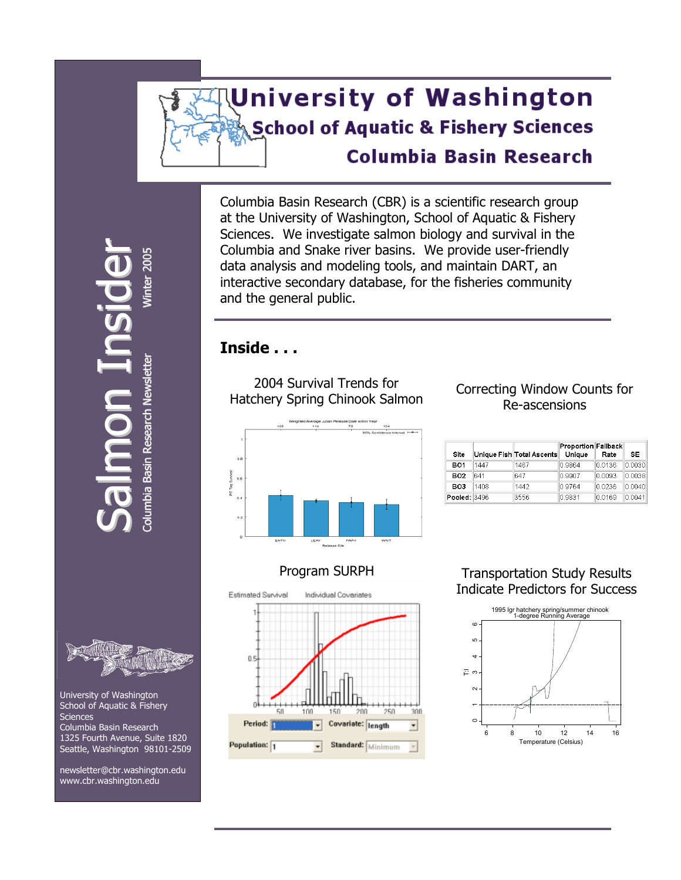# **University of Washington School of Aquatic & Fishery Sciences Columbia Basin Research**

Columbia Basin Research (CBR) is a scientific research group at the University of Washington, School of Aquatic & Fishery Sciences. We investigate salmon biology and survival in the Columbia and Snake river basins. We provide user-friendly data analysis and modeling tools, and maintain DART, an interactive secondary database, for the fisheries community and the general public.

# **Inside . . .**

2004 Survival Trends for Hatchery Spring Chinook Salmon



### Correcting Window Counts for Re-ascensions

| Site         |      | Unique Fish Total Ascents | Proportion Fallback<br>Unique | Rate   | <b>SE</b> |
|--------------|------|---------------------------|-------------------------------|--------|-----------|
| <b>BO1</b>   | 1447 | 1467                      | 0.9864                        | 0.0136 | 0.0030    |
| <b>BO2</b>   | 641  | 647                       | 0.9907                        | 0.0093 | 0.0038    |
| <b>BO3</b>   | 1408 | 1442                      | 0.9764                        | 0.0236 | 0.0040    |
| Pooled: 3496 |      | 3556                      | 09831                         | 00169  | 00041     |

# Program SURPH



#### Transportation Study Results Indicate Predictors for Success



 $\boldsymbol{\mathsf{C}}$ alm on $=$ nsid  $\bf{U}$ Colum bia Basin R esearch N **Basin Research Newslette** wsletter Winter 20 5 i

r



 University of Washington School of Aquatic & Fishery **Sciences**  Columbia Basin Research 1325 Fourth Avenue, Suite 1820 Seattle, Washington 98101-2509

 newsletter@cbr.washington.edu [www.cbr.washington.edu](http://www.cbr.washington.edu/)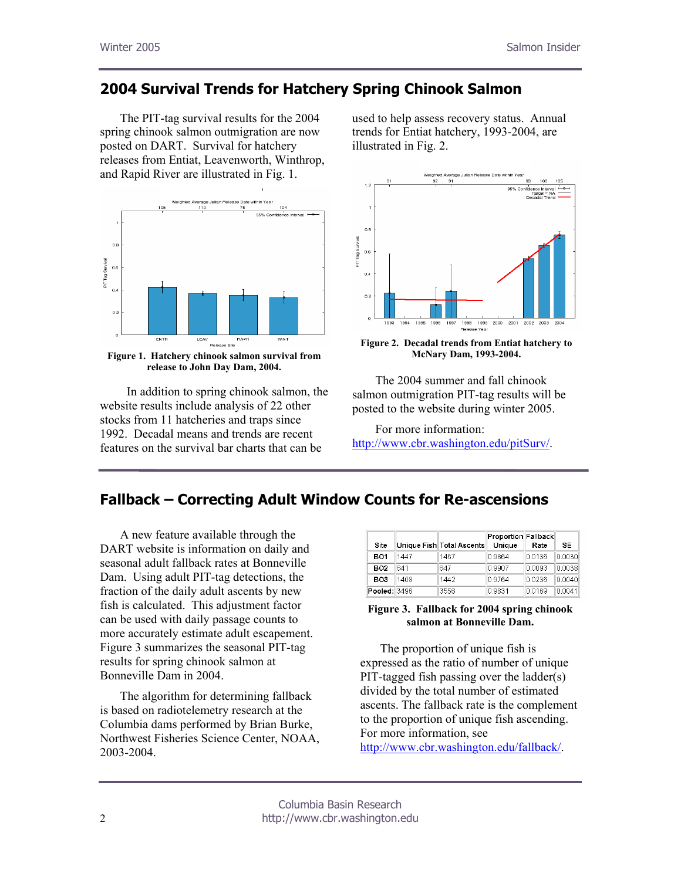# **2004 Survival Trends for Hatchery Spring Chinook Salmon**

The PIT-tag survival results for the 2004 spring chinook salmon outmigration are now posted on DART. Survival for hatchery releases from Entiat, Leavenworth, Winthrop, and Rapid River are illustrated in Fig. 1.



**Figure 1. Hatchery chinook salmon survival from release to John Day Dam, 2004.** 

 In addition to spring chinook salmon, the website results include analysis of 22 other stocks from 11 hatcheries and traps since 1992. Decadal means and trends are recent features on the survival bar charts that can be

used to help assess recovery status. Annual trends for Entiat hatchery, 1993-2004, are illustrated in Fig. 2.



**Figure 2. Decadal trends from Entiat hatchery to McNary Dam, 1993-2004.** 

 The 2004 summer and fall chinook salmon outmigration PIT-tag results will be posted to the website during winter 2005.

 For more information: <http://www.cbr.washington.edu/pitSurv/>.

# **Fallback – Correcting Adult Window Counts for Re-ascensions**

A new feature available through the DART website is information on daily and seasonal adult fallback rates at Bonneville Dam. Using adult PIT-tag detections, the fraction of the daily adult ascents by new fish is calculated. This adjustment factor can be used with daily passage counts to more accurately estimate adult escapement. Figure 3 summarizes the seasonal PIT-tag results for spring chinook salmon at Bonneville Dam in 2004.

The algorithm for determining fallback is based on radiotelemetry research at the Columbia dams performed by Brian Burke, Northwest Fisheries Science Center, NOAA, 2003-2004.

| Site         |      | Unique Fish Total Ascents | Proportion Fallback<br>Unique | Rate   | <b>SE</b> |
|--------------|------|---------------------------|-------------------------------|--------|-----------|
| <b>BO1</b>   | 1447 | 1467                      | 0.9864                        | 0.0136 | 0.0030    |
| <b>BO2</b>   | 641  | 647                       | 0 9907                        | 0.0093 | 0.0038    |
| <b>BO3</b>   | 1408 | 1442                      | 0.9764                        | 00236  | 0.0040    |
| Pooled: 3496 |      | 3556                      | 0.9831                        | 0.0169 | 0.0041    |

#### **Figure 3. Fallback for 2004 spring chinook salmon at Bonneville Dam.**

The proportion of unique fish is expressed as the ratio of number of unique PIT-tagged fish passing over the ladder(s) divided by the total number of estimated ascents. The fallback rate is the complement to the proportion of unique fish ascending. For more information, see [http://www.cbr.washington.edu/fallback/.](http://www.cbr.washington.edu/fallback/)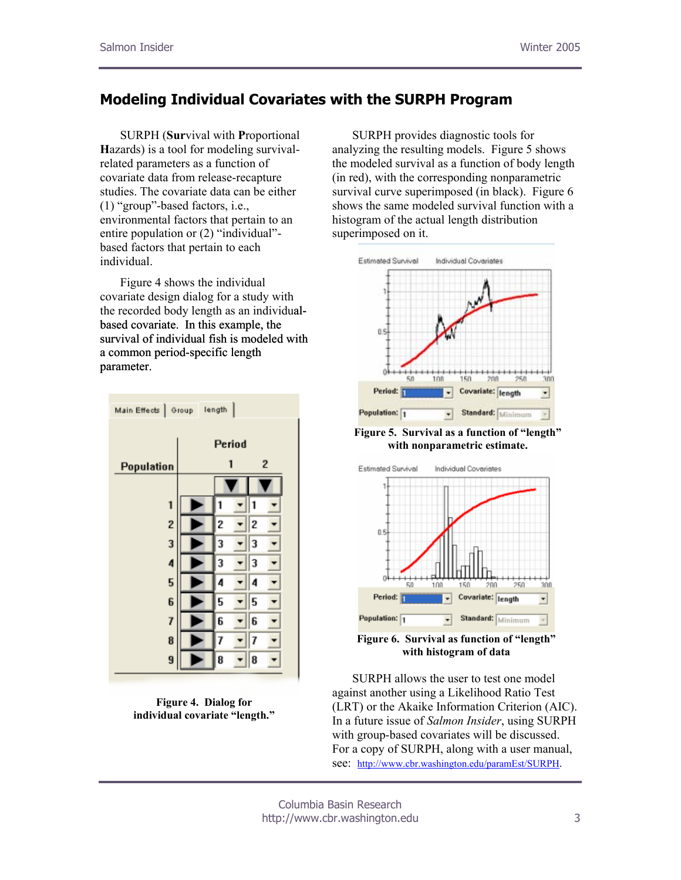# **Modeling Individual Covariates with the SURPH Program**

SURPH (**Sur**vival with **P**roportional **H**azards) is a tool for modeling survivalrelated parameters as a function of covariate data from release-recapture studies. The covariate data can be either (1) "group"-based factors, i.e., environmental factors that pertain to an entire population or (2) "individual" based factors that pertain to each individual.

Figure 4 shows the individual covariate design dialog for a study with the recorded body length as an individualbased covariate. In this example, the survival of individual fish is modeled with a common period-specific length parameter.



**Figure 4. Dialog for individual covariate "length."** 

SURPH provides diagnostic tools for analyzing the resulting models. Figure 5 shows the modeled survival as a function of body length (in red), with the corresponding nonparametric survival curve superimposed (in black). Figure 6 shows the same modeled survival function with a histogram of the actual length distribution superimposed on it.



**Figure 5. Survival as a function of "length" with nonparametric estimate.** 



**Figure 6. Survival as function of "length" with histogram of data** 

SURPH allows the user to test one model against another using a Likelihood Ratio Test (LRT) or the Akaike Information Criterion (AIC). In a future issue of *Salmon Insider*, using SURPH with group-based covariates will be discussed. For a copy of SURPH, along with a user manual, see: <http://www.cbr.washington.edu/paramEst/SURPH>.